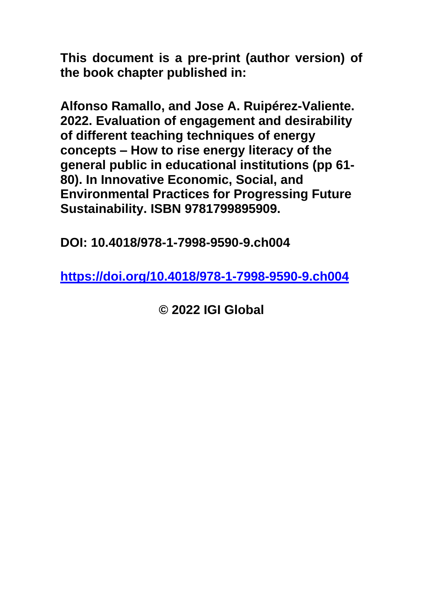**This document is a pre-print (author version) of the book chapter published in:**

**Alfonso Ramallo, and Jose A. Ruipérez-Valiente. 2022. Evaluation of engagement and desirability of different teaching techniques of energy concepts – How to rise energy literacy of the general public in educational institutions (pp 61- 80). In Innovative Economic, Social, and Environmental Practices for Progressing Future Sustainability. ISBN 9781799895909.**

**DOI: 10.4018/978-1-7998-9590-9.ch004**

**<https://doi.org/10.4018/978-1-7998-9590-9.ch004>**

**© 2022 IGI Global**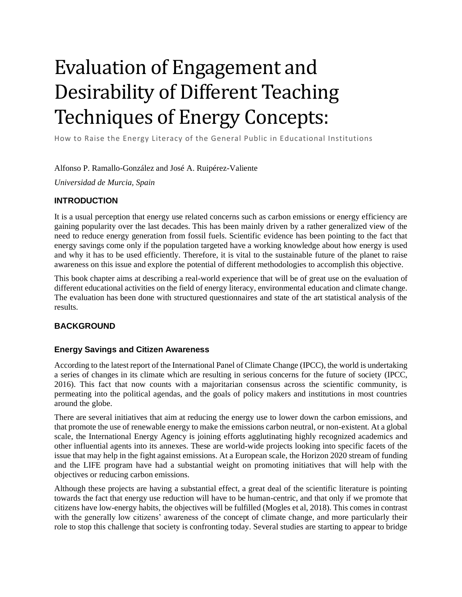# Evaluation of Engagement and Desirability of Different Teaching Techniques of Energy Concepts:

How to Raise the Energy Literacy of the General Public in Educational Institutions

Alfonso P. Ramallo-González and José A. Ruipérez-Valiente

*Universidad de Murcia, Spain*

#### **INTRODUCTION**

It is a usual perception that energy use related concerns such as carbon emissions or energy efficiency are gaining popularity over the last decades. This has been mainly driven by a rather generalized view of the need to reduce energy generation from fossil fuels. Scientific evidence has been pointing to the fact that energy savings come only if the population targeted have a working knowledge about how energy is used and why it has to be used efficiently. Therefore, it is vital to the sustainable future of the planet to raise awareness on this issue and explore the potential of different methodologies to accomplish this objective.

This book chapter aims at describing a real-world experience that will be of great use on the evaluation of different educational activities on the field of energy literacy, environmental education and climate change. The evaluation has been done with structured questionnaires and state of the art statistical analysis of the results.

# **BACKGROUND**

#### **Energy Savings and Citizen Awareness**

According to the latest report of the International Panel of Climate Change (IPCC), the world is undertaking a series of changes in its climate which are resulting in serious concerns for the future of society (IPCC, 2016). This fact that now counts with a majoritarian consensus across the scientific community, is permeating into the political agendas, and the goals of policy makers and institutions in most countries around the globe.

There are several initiatives that aim at reducing the energy use to lower down the carbon emissions, and that promote the use of renewable energy to make the emissions carbon neutral, or non-existent. At a global scale, the International Energy Agency is joining efforts agglutinating highly recognized academics and other influential agents into its annexes. These are world-wide projects looking into specific facets of the issue that may help in the fight against emissions. At a European scale, the Horizon 2020 stream of funding and the LIFE program have had a substantial weight on promoting initiatives that will help with the objectives or reducing carbon emissions.

Although these projects are having a substantial effect, a great deal of the scientific literature is pointing towards the fact that energy use reduction will have to be human-centric, and that only if we promote that citizens have low-energy habits, the objectives will be fulfilled (Mogles et al, 2018). This comes in contrast with the generally low citizens' awareness of the concept of climate change, and more particularly their role to stop this challenge that society is confronting today. Several studies are starting to appear to bridge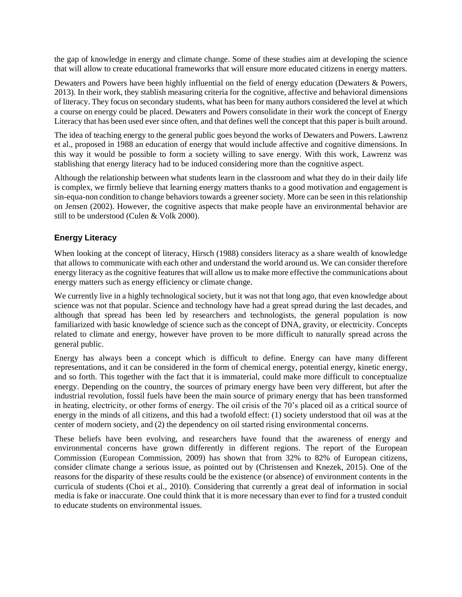the gap of knowledge in energy and climate change. Some of these studies aim at developing the science that will allow to create educational frameworks that will ensure more educated citizens in energy matters.

Dewaters and Powers have been highly influential on the field of energy education (Dewaters & Powers, 2013). In their work, they stablish measuring criteria for the cognitive, affective and behavioral dimensions of literacy. They focus on secondary students, what has been for many authors considered the level at which a course on energy could be placed. Dewaters and Powers consolidate in their work the concept of Energy Literacy that has been used ever since often, and that defines well the concept that this paper is built around.

The idea of teaching energy to the general public goes beyond the works of Dewaters and Powers. Lawrenz et al., proposed in 1988 an education of energy that would include affective and cognitive dimensions. In this way it would be possible to form a society willing to save energy. With this work, Lawrenz was stablishing that energy literacy had to be induced considering more than the cognitive aspect.

Although the relationship between what students learn in the classroom and what they do in their daily life is complex, we firmly believe that learning energy matters thanks to a good motivation and engagement is sin-equa-non condition to change behaviors towards a greener society. More can be seen in this relationship on Jensen (2002). However, the cognitive aspects that make people have an environmental behavior are still to be understood (Culen & Volk 2000).

#### **Energy Literacy**

When looking at the concept of literacy, Hirsch (1988) considers literacy as a share wealth of knowledge that allows to communicate with each other and understand the world around us. We can consider therefore energy literacy as the cognitive features that will allow us to make more effective the communications about energy matters such as energy efficiency or climate change.

We currently live in a highly technological society, but it was not that long ago, that even knowledge about science was not that popular. Science and technology have had a great spread during the last decades, and although that spread has been led by researchers and technologists, the general population is now familiarized with basic knowledge of science such as the concept of DNA, gravity, or electricity. Concepts related to climate and energy, however have proven to be more difficult to naturally spread across the general public.

Energy has always been a concept which is difficult to define. Energy can have many different representations, and it can be considered in the form of chemical energy, potential energy, kinetic energy, and so forth. This together with the fact that it is immaterial, could make more difficult to conceptualize energy. Depending on the country, the sources of primary energy have been very different, but after the industrial revolution, fossil fuels have been the main source of primary energy that has been transformed in heating, electricity, or other forms of energy. The oil crisis of the 70's placed oil as a critical source of energy in the minds of all citizens, and this had a twofold effect: (1) society understood that oil was at the center of modern society, and (2) the dependency on oil started rising environmental concerns.

These beliefs have been evolving, and researchers have found that the awareness of energy and environmental concerns have grown differently in different regions. The report of the European Commission (European Commission, 2009) has shown that from 32% to 82% of European citizens, consider climate change a serious issue, as pointed out by (Christensen and Knezek, 2015). One of the reasons for the disparity of these results could be the existence (or absence) of environment contents in the curricula of students (Choi et al., 2010). Considering that currently a great deal of information in social media is fake or inaccurate. One could think that it is more necessary than ever to find for a trusted conduit to educate students on environmental issues.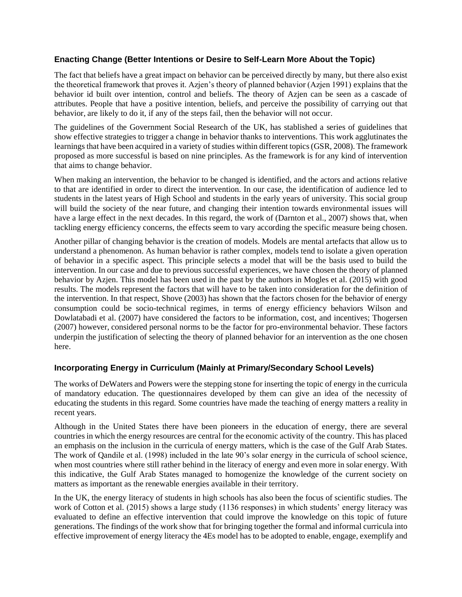### **Enacting Change (Better Intentions or Desire to Self-Learn More About the Topic)**

The fact that beliefs have a great impact on behavior can be perceived directly by many, but there also exist the theoretical framework that proves it. Azjen's theory of planned behavior (Azjen 1991) explains that the behavior id built over intention, control and beliefs. The theory of Azjen can be seen as a cascade of attributes. People that have a positive intention, beliefs, and perceive the possibility of carrying out that behavior, are likely to do it, if any of the steps fail, then the behavior will not occur.

The guidelines of the Government Social Research of the UK, has stablished a series of guidelines that show effective strategies to trigger a change in behavior thanks to interventions. This work agglutinates the learnings that have been acquired in a variety of studies within different topics (GSR, 2008). The framework proposed as more successful is based on nine principles. As the framework is for any kind of intervention that aims to change behavior.

When making an intervention, the behavior to be changed is identified, and the actors and actions relative to that are identified in order to direct the intervention. In our case, the identification of audience led to students in the latest years of High School and students in the early years of university. This social group will build the society of the near future, and changing their intention towards environmental issues will have a large effect in the next decades. In this regard, the work of (Darnton et al., 2007) shows that, when tackling energy efficiency concerns, the effects seem to vary according the specific measure being chosen.

Another pillar of changing behavior is the creation of models. Models are mental artefacts that allow us to understand a phenomenon. As human behavior is rather complex, models tend to isolate a given operation of behavior in a specific aspect. This principle selects a model that will be the basis used to build the intervention. In our case and due to previous successful experiences, we have chosen the theory of planned behavior by Azjen. This model has been used in the past by the authors in Mogles et al. (2015) with good results. The models represent the factors that will have to be taken into consideration for the definition of the intervention. In that respect, Shove (2003) has shown that the factors chosen for the behavior of energy consumption could be socio-technical regimes, in terms of energy efficiency behaviors Wilson and Dowlatabadi et al. (2007) have considered the factors to be information, cost, and incentives; Thogersen (2007) however, considered personal norms to be the factor for pro-environmental behavior. These factors underpin the justification of selecting the theory of planned behavior for an intervention as the one chosen here.

# **Incorporating Energy in Curriculum (Mainly at Primary/Secondary School Levels)**

The works of DeWaters and Powers were the stepping stone for inserting the topic of energy in the curricula of mandatory education. The questionnaires developed by them can give an idea of the necessity of educating the students in this regard. Some countries have made the teaching of energy matters a reality in recent years.

Although in the United States there have been pioneers in the education of energy, there are several countries in which the energy resources are central for the economic activity of the country. This has placed an emphasis on the inclusion in the curricula of energy matters, which is the case of the Gulf Arab States. The work of Qandile et al. (1998) included in the late 90's solar energy in the curricula of school science, when most countries where still rather behind in the literacy of energy and even more in solar energy. With this indicative, the Gulf Arab States managed to homogenize the knowledge of the current society on matters as important as the renewable energies available in their territory.

In the UK, the energy literacy of students in high schools has also been the focus of scientific studies. The work of Cotton et al. (2015) shows a large study (1136 responses) in which students' energy literacy was evaluated to define an effective intervention that could improve the knowledge on this topic of future generations. The findings of the work show that for bringing together the formal and informal curricula into effective improvement of energy literacy the 4Es model has to be adopted to enable, engage, exemplify and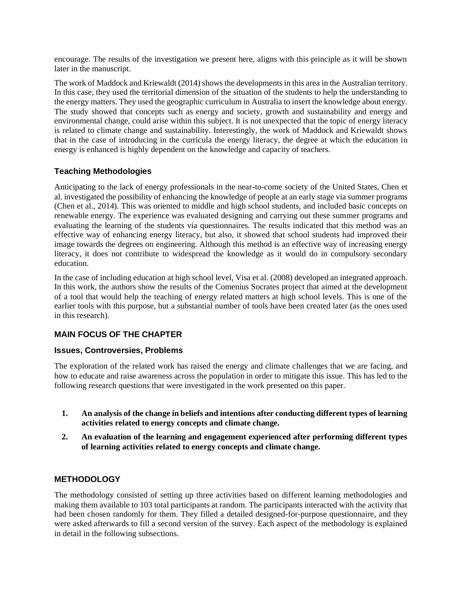encourage. The results of the investigation we present here, aligns with this principle as it will be shown later in the manuscript.

The work of Maddock and Kriewaldt (2014) shows the developments in this area in the Australian territory. In this case, they used the territorial dimension of the situation of the students to help the understanding to the energy matters. They used the geographic curriculum in Australia to insert the knowledge about energy. The study showed that concepts such as energy and society, growth and sustainability and energy and environmental change, could arise within this subject. It is not unexpected that the topic of energy literacy is related to climate change and sustainability. Interestingly, the work of Maddock and Kriewaldt shows that in the case of introducing in the curricula the energy literacy, the degree at which the education in energy is enhanced is highly dependent on the knowledge and capacity of teachers.

# **Teaching Methodologies**

Anticipating to the lack of energy professionals in the near-to-come society of the United States, Chen et al. investigated the possibility of enhancing the knowledge of people at an early stage via summer programs (Chen et al., 2014). This was oriented to middle and high school students, and included basic concepts on renewable energy. The experience was evaluated designing and carrying out these summer programs and evaluating the learning of the students via questionnaires. The results indicated that this method was an effective way of enhancing energy literacy, but also, it showed that school students had improved their image towards the degrees on engineering. Although this method is an effective way of increasing energy literacy, it does not contribute to widespread the knowledge as it would do in compulsory secondary education.

In the case of including education at high school level, Visa et al. (2008) developed an integrated approach. In this work, the authors show the results of the Comenius Socrates project that aimed at the development of a tool that would help the teaching of energy related matters at high school levels. This is one of the earlier tools with this purpose, but a substantial number of tools have been created later (as the ones used in this research).

# **MAIN FOCUS OF THE CHAPTER**

# **Issues, Controversies, Problems**

The exploration of the related work has raised the energy and climate challenges that we are facing, and how to educate and raise awareness across the population in order to mitigate this issue. This has led to the following research questions that were investigated in the work presented on this paper.

- **1. An analysis of the change in beliefs and intentions after conducting different types of learning activities related to energy concepts and climate change.**
- **2. An evaluation of the learning and engagement experienced after performing different types of learning activities related to energy concepts and climate change.**

# **METHODOLOGY**

The methodology consisted of setting up three activities based on different learning methodologies and making them available to 103 total participants at random. The participants interacted with the activity that had been chosen randomly for them. They filled a detailed designed-for-purpose questionnaire, and they were asked afterwards to fill a second version of the survey. Each aspect of the methodology is explained in detail in the following subsections.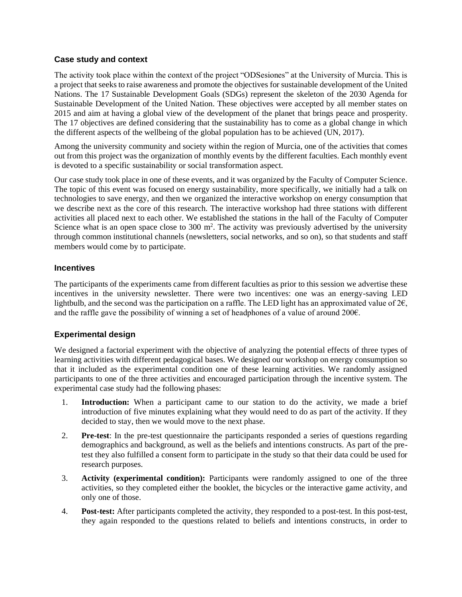#### **Case study and context**

The activity took place within the context of the project "ODSesiones" at the University of Murcia. This is a project that seeks to raise awareness and promote the objectives for sustainable development of the United Nations. The 17 Sustainable Development Goals (SDGs) represent the skeleton of the 2030 Agenda for Sustainable Development of the United Nation. These objectives were accepted by all member states on 2015 and aim at having a global view of the development of the planet that brings peace and prosperity. The 17 objectives are defined considering that the sustainability has to come as a global change in which the different aspects of the wellbeing of the global population has to be achieved (UN, 2017).

Among the university community and society within the region of Murcia, one of the activities that comes out from this project was the organization of monthly events by the different faculties. Each monthly event is devoted to a specific sustainability or social transformation aspect.

Our case study took place in one of these events, and it was organized by the Faculty of Computer Science. The topic of this event was focused on energy sustainability, more specifically, we initially had a talk on technologies to save energy, and then we organized the interactive workshop on energy consumption that we describe next as the core of this research. The interactive workshop had three stations with different activities all placed next to each other. We established the stations in the hall of the Faculty of Computer Science what is an open space close to 300  $m^2$ . The activity was previously advertised by the university through common institutional channels (newsletters, social networks, and so on), so that students and staff members would come by to participate.

#### **Incentives**

The participants of the experiments came from different faculties as prior to this session we advertise these incentives in the university newsletter. There were two incentives: one was an energy-saving LED lightbulb, and the second was the participation on a raffle. The LED light has an approximated value of  $2\epsilon$ , and the raffle gave the possibility of winning a set of headphones of a value of around 200€.

# **Experimental design**

We designed a factorial experiment with the objective of analyzing the potential effects of three types of learning activities with different pedagogical bases. We designed our workshop on energy consumption so that it included as the experimental condition one of these learning activities. We randomly assigned participants to one of the three activities and encouraged participation through the incentive system. The experimental case study had the following phases:

- 1. **Introduction:** When a participant came to our station to do the activity, we made a brief introduction of five minutes explaining what they would need to do as part of the activity. If they decided to stay, then we would move to the next phase.
- 2. **Pre-test**: In the pre-test questionnaire the participants responded a series of questions regarding demographics and background, as well as the beliefs and intentions constructs. As part of the pretest they also fulfilled a consent form to participate in the study so that their data could be used for research purposes.
- 3. **Activity (experimental condition):** Participants were randomly assigned to one of the three activities, so they completed either the booklet, the bicycles or the interactive game activity, and only one of those.
- 4. **Post-test:** After participants completed the activity, they responded to a post-test. In this post-test, they again responded to the questions related to beliefs and intentions constructs, in order to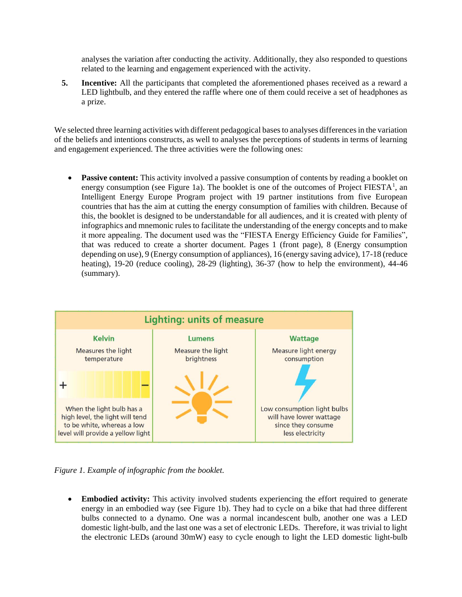analyses the variation after conducting the activity. Additionally, they also responded to questions related to the learning and engagement experienced with the activity.

**5. Incentive:** All the participants that completed the aforementioned phases received as a reward a LED lightbulb, and they entered the raffle where one of them could receive a set of headphones as a prize.

We selected three learning activities with different pedagogical bases to analyses differences in the variation of the beliefs and intentions constructs, as well to analyses the perceptions of students in terms of learning and engagement experienced. The three activities were the following ones:

**Passive content:** This activity involved a passive consumption of contents by reading a booklet on energy consumption (see [Figure 1a](#page-6-0)). The booklet is one of the outcomes of Project FIESTA<sup>1</sup>, an Intelligent Energy Europe Program project with 19 partner institutions from five European countries that has the aim at cutting the energy consumption of families with children. Because of this, the booklet is designed to be understandable for all audiences, and it is created with plenty of infographics and mnemonic rules to facilitate the understanding of the energy concepts and to make it more appealing. The document used was the "FIESTA Energy Efficiency Guide for Families", that was reduced to create a shorter document. Pages 1 (front page), 8 (Energy consumption depending on use), 9 (Energy consumption of appliances), 16 (energy saving advice), 17-18 (reduce heating), 19-20 (reduce cooling), 28-29 (lighting), 36-37 (how to help the environment), 44-46 (summary).



<span id="page-6-0"></span>*Figure 1. Example of infographic from the booklet.*

• **Embodied activity:** This activity involved students experiencing the effort required to generate energy in an embodied way (see Figure 1b). They had to cycle on a bike that had three different bulbs connected to a dynamo. One was a normal incandescent bulb, another one was a LED domestic light-bulb, and the last one was a set of electronic LEDs. Therefore, it was trivial to light the electronic LEDs (around 30mW) easy to cycle enough to light the LED domestic light-bulb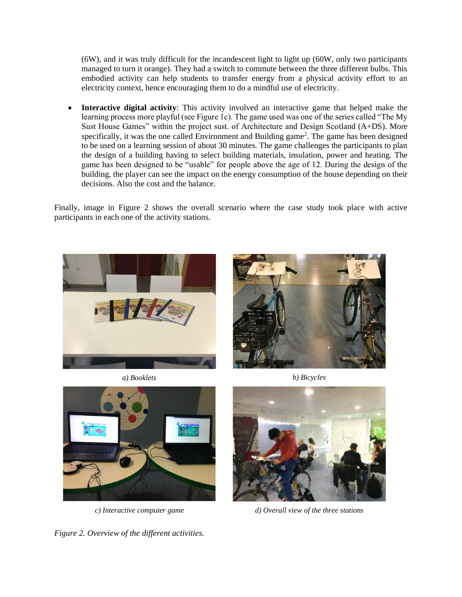(6W), and it was truly difficult for the incandescent light to light up (60W, only two participants managed to turn it orange). They had a switch to commute between the three different bulbs. This embodied activity can help students to transfer energy from a physical activity effort to an electricity context, hence encouraging them to do a mindful use of electricity.

• **Interactive digital activity**: This activity involved an interactive game that helped make the learning process more playful (see Figure 1c). The game used was one of the series called "The My Sust House Games" within the project sust. of Architecture and Design Scotland (A+DS). More specifically, it was the one called Environment and Building game<sup>2</sup>. The game has been designed to be used on a learning session of about 30 minutes. The game challenges the participants to plan the design of a building having to select building materials, insulation, power and heating. The game has been designed to be "usable" for people above the age of 12. During the design of the building, the player can see the impact on the energy consumption of the house depending on their decisions. Also the cost and the balance.

Finally, image in [Figure 2](#page-7-0) shows the overall scenario where the case study took place with active participants in each one of the activity stations.













<span id="page-7-0"></span>



*c) Interactive computer game d) Overall view of the three stations*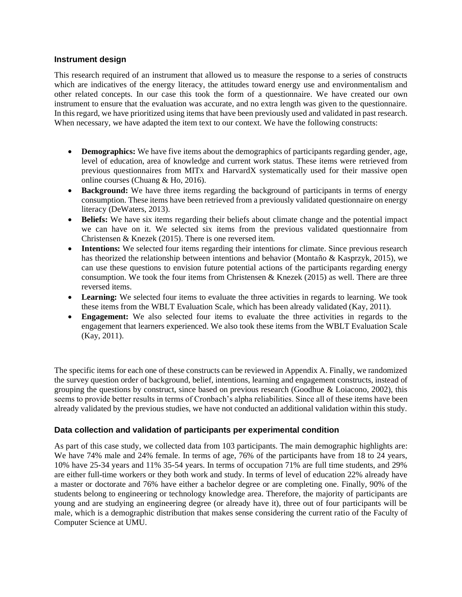#### **Instrument design**

This research required of an instrument that allowed us to measure the response to a series of constructs which are indicatives of the energy literacy, the attitudes toward energy use and environmentalism and other related concepts. In our case this took the form of a questionnaire. We have created our own instrument to ensure that the evaluation was accurate, and no extra length was given to the questionnaire. In this regard, we have prioritized using items that have been previously used and validated in past research. When necessary, we have adapted the item text to our context. We have the following constructs:

- **Demographics:** We have five items about the demographics of participants regarding gender, age, level of education, area of knowledge and current work status. These items were retrieved from previous questionnaires from MITx and HarvardX systematically used for their massive open online courses (Chuang & Ho, 2016).
- **Background:** We have three items regarding the background of participants in terms of energy consumption. These items have been retrieved from a previously validated questionnaire on energy literacy (DeWaters, 2013).
- **Beliefs:** We have six items regarding their beliefs about climate change and the potential impact we can have on it. We selected six items from the previous validated questionnaire from Christensen & Knezek (2015). There is one reversed item.
- **Intentions:** We selected four items regarding their intentions for climate. Since previous research has theorized the relationship between intentions and behavior (Montaño & Kasprzyk, 2015), we can use these questions to envision future potential actions of the participants regarding energy consumption. We took the four items from Christensen & Knezek (2015) as well. There are three reversed items.
- Learning: We selected four items to evaluate the three activities in regards to learning. We took these items from the WBLT Evaluation Scale, which has been already validated (Kay, 2011).
- **Engagement:** We also selected four items to evaluate the three activities in regards to the engagement that learners experienced. We also took these items from the WBLT Evaluation Scale (Kay, 2011).

The specific items for each one of these constructs can be reviewed in Appendix A. Finally, we randomized the survey question order of background, belief, intentions, learning and engagement constructs, instead of grouping the questions by construct, since based on previous research (Goodhue  $\&$  Loiacono, 2002), this seems to provide better results in terms of Cronbach's alpha reliabilities. Since all of these items have been already validated by the previous studies, we have not conducted an additional validation within this study.

#### **Data collection and validation of participants per experimental condition**

As part of this case study, we collected data from 103 participants. The main demographic highlights are: We have 74% male and 24% female. In terms of age, 76% of the participants have from 18 to 24 years, 10% have 25-34 years and 11% 35-54 years. In terms of occupation 71% are full time students, and 29% are either full-time workers or they both work and study. In terms of level of education 22% already have a master or doctorate and 76% have either a bachelor degree or are completing one. Finally, 90% of the students belong to engineering or technology knowledge area. Therefore, the majority of participants are young and are studying an engineering degree (or already have it), three out of four participants will be male, which is a demographic distribution that makes sense considering the current ratio of the Faculty of Computer Science at UMU.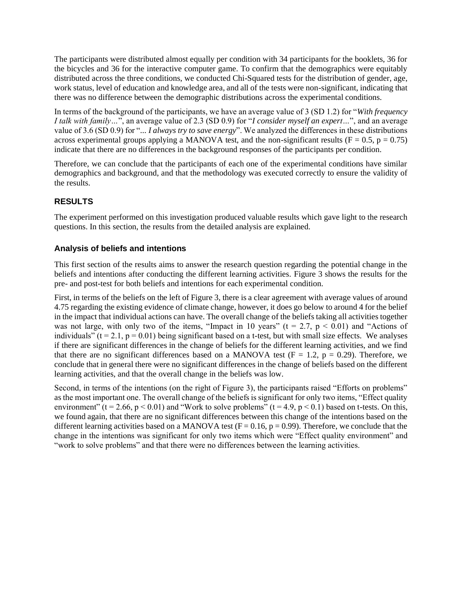The participants were distributed almost equally per condition with 34 participants for the booklets, 36 for the bicycles and 36 for the interactive computer game. To confirm that the demographics were equitably distributed across the three conditions, we conducted Chi-Squared tests for the distribution of gender, age, work status, level of education and knowledge area, and all of the tests were non-significant, indicating that there was no difference between the demographic distributions across the experimental conditions.

In terms of the background of the participants, we have an average value of 3 (SD 1.2) for "*With frequency I talk with family…*", an average value of 2.3 (SD 0.9) for "*I consider myself an expert…*", and an average value of 3.6 (SD 0.9) for "*... I always try to save energy*". We analyzed the differences in these distributions across experimental groups applying a MANOVA test, and the non-significant results ( $F = 0.5$ ,  $p = 0.75$ ) indicate that there are no differences in the background responses of the participants per condition.

Therefore, we can conclude that the participants of each one of the experimental conditions have similar demographics and background, and that the methodology was executed correctly to ensure the validity of the results.

# **RESULTS**

The experiment performed on this investigation produced valuable results which gave light to the research questions. In this section, the results from the detailed analysis are explained.

# **Analysis of beliefs and intentions**

This first section of the results aims to answer the research question regarding the potential change in the beliefs and intentions after conducting the different learning activities. [Figure 3](#page-10-0) shows the results for the pre- and post-test for both beliefs and intentions for each experimental condition.

First, in terms of the beliefs on the left of Figure 3, there is a clear agreement with average values of around 4.75 regarding the existing evidence of climate change, however, it does go below to around 4 for the belief in the impact that individual actions can have. The overall change of the beliefs taking all activities together was not large, with only two of the items, "Impact in 10 years" ( $t = 2.7$ ,  $p < 0.01$ ) and "Actions of individuals" ( $t = 2.1$ ,  $p = 0.01$ ) being significant based on a t-test, but with small size effects. We analyses if there are significant differences in the change of beliefs for the different learning activities, and we find that there are no significant differences based on a MANOVA test ( $F = 1.2$ ,  $p = 0.29$ ). Therefore, we conclude that in general there were no significant differences in the change of beliefs based on the different learning activities, and that the overall change in the beliefs was low.

Second, in terms of the intentions (on the right of Figure 3), the participants raised "Efforts on problems" as the most important one. The overall change of the beliefs is significant for only two items, "Effect quality environment" (t = 2.66, p < 0.01) and "Work to solve problems" (t = 4.9, p < 0.1) based on t-tests. On this, we found again, that there are no significant differences between this change of the intentions based on the different learning activities based on a MANOVA test ( $F = 0.16$ ,  $p = 0.99$ ). Therefore, we conclude that the change in the intentions was significant for only two items which were "Effect quality environment" and "work to solve problems" and that there were no differences between the learning activities.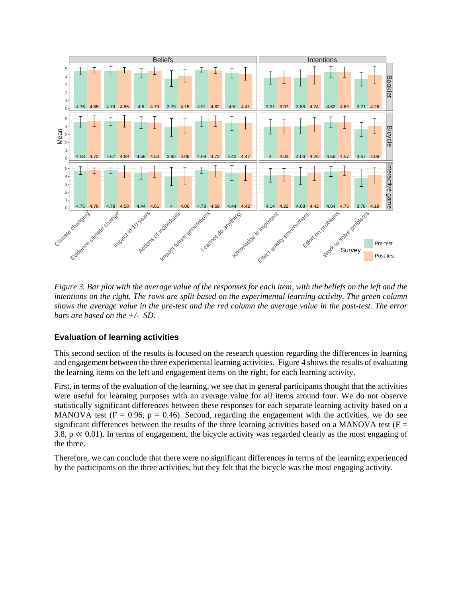

<span id="page-10-0"></span>*Figure 3. Bar plot with the average value of the responses for each item, with the beliefs on the left and the intentions on the right. The rows are split based on the experimental learning activity. The green column shows the average value in the pre-test and the red column the average value in the post-test. The error bars are based on the +/- SD.*

# **Evaluation of learning activities**

This second section of the results is focused on the research question regarding the differences in learning and engagement between the three experimental learning activities. [Figure 4](#page-11-0) shows the results of evaluating the learning items on the left and engagement items on the right, for each learning activity.

First, in terms of the evaluation of the learning, we see that in general participants thought that the activities were useful for learning purposes with an average value for all items around four. We do not observe statistically significant differences between these responses for each separate learning activity based on a MANOVA test ( $F = 0.96$ ,  $p = 0.46$ ). Second, regarding the engagement with the activities, we do see significant differences between the results of the three learning activities based on a MANOVA test ( $F =$ 3.8, p ≪ 0.01). In terms of engagement, the bicycle activity was regarded clearly as the most engaging of the three.

Therefore, we can conclude that there were no significant differences in terms of the learning experienced by the participants on the three activities, but they felt that the bicycle was the most engaging activity.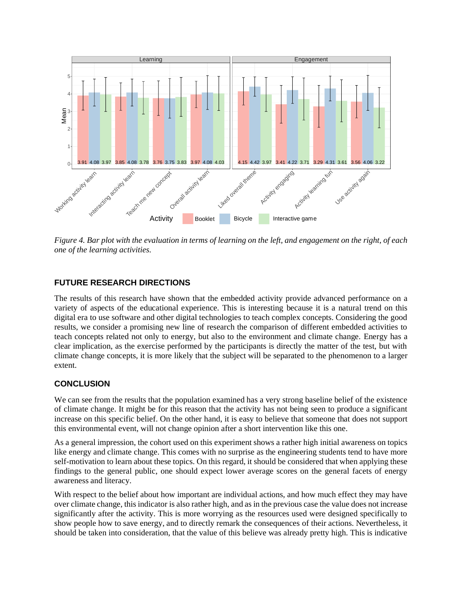

<span id="page-11-0"></span>*Figure 4. Bar plot with the evaluation in terms of learning on the left, and engagement on the right, of each one of the learning activities.* 

# **FUTURE RESEARCH DIRECTIONS**

The results of this research have shown that the embedded activity provide advanced performance on a variety of aspects of the educational experience. This is interesting because it is a natural trend on this digital era to use software and other digital technologies to teach complex concepts. Considering the good results, we consider a promising new line of research the comparison of different embedded activities to teach concepts related not only to energy, but also to the environment and climate change. Energy has a clear implication, as the exercise performed by the participants is directly the matter of the test, but with climate change concepts, it is more likely that the subject will be separated to the phenomenon to a larger extent.

# **CONCLUSION**

We can see from the results that the population examined has a very strong baseline belief of the existence of climate change. It might be for this reason that the activity has not being seen to produce a significant increase on this specific belief. On the other hand, it is easy to believe that someone that does not support this environmental event, will not change opinion after a short intervention like this one.

As a general impression, the cohort used on this experiment shows a rather high initial awareness on topics like energy and climate change. This comes with no surprise as the engineering students tend to have more self-motivation to learn about these topics. On this regard, it should be considered that when applying these findings to the general public, one should expect lower average scores on the general facets of energy awareness and literacy.

With respect to the belief about how important are individual actions, and how much effect they may have over climate change, this indicator is also rather high, and as in the previous case the value does not increase significantly after the activity. This is more worrying as the resources used were designed specifically to show people how to save energy, and to directly remark the consequences of their actions. Nevertheless, it should be taken into consideration, that the value of this believe was already pretty high. This is indicative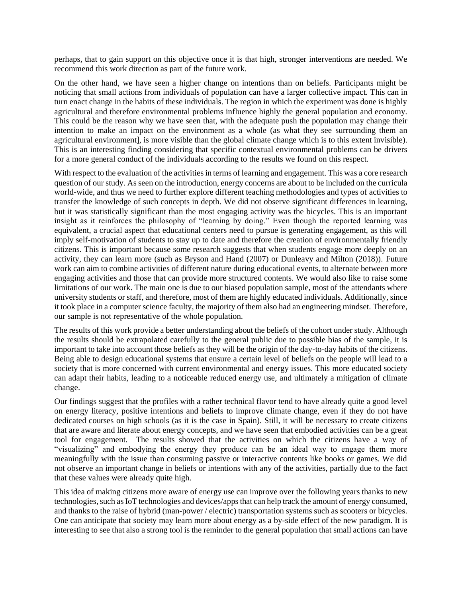perhaps, that to gain support on this objective once it is that high, stronger interventions are needed. We recommend this work direction as part of the future work.

On the other hand, we have seen a higher change on intentions than on beliefs. Participants might be noticing that small actions from individuals of population can have a larger collective impact. This can in turn enact change in the habits of these individuals. The region in which the experiment was done is highly agricultural and therefore environmental problems influence highly the general population and economy. This could be the reason why we have seen that, with the adequate push the population may change their intention to make an impact on the environment as a whole (as what they see surrounding them an agricultural environment], is more visible than the global climate change which is to this extent invisible). This is an interesting finding considering that specific contextual environmental problems can be drivers for a more general conduct of the individuals according to the results we found on this respect.

With respect to the evaluation of the activities in terms of learning and engagement. This was a core research question of our study. As seen on the introduction, energy concerns are about to be included on the curricula world-wide, and thus we need to further explore different teaching methodologies and types of activities to transfer the knowledge of such concepts in depth. We did not observe significant differences in learning, but it was statistically significant than the most engaging activity was the bicycles. This is an important insight as it reinforces the philosophy of "learning by doing." Even though the reported learning was equivalent, a crucial aspect that educational centers need to pursue is generating engagement, as this will imply self-motivation of students to stay up to date and therefore the creation of environmentally friendly citizens. This is important because some research suggests that when students engage more deeply on an activity, they can learn more (such as Bryson and Hand (2007) or Dunleavy and Milton (2018)). Future work can aim to combine activities of different nature during educational events, to alternate between more engaging activities and those that can provide more structured contents. We would also like to raise some limitations of our work. The main one is due to our biased population sample, most of the attendants where university students or staff, and therefore, most of them are highly educated individuals. Additionally, since it took place in a computer science faculty, the majority of them also had an engineering mindset. Therefore, our sample is not representative of the whole population.

The results of this work provide a better understanding about the beliefs of the cohort under study. Although the results should be extrapolated carefully to the general public due to possible bias of the sample, it is important to take into account those beliefs as they will be the origin of the day-to-day habits of the citizens. Being able to design educational systems that ensure a certain level of beliefs on the people will lead to a society that is more concerned with current environmental and energy issues. This more educated society can adapt their habits, leading to a noticeable reduced energy use, and ultimately a mitigation of climate change.

Our findings suggest that the profiles with a rather technical flavor tend to have already quite a good level on energy literacy, positive intentions and beliefs to improve climate change, even if they do not have dedicated courses on high schools (as it is the case in Spain). Still, it will be necessary to create citizens that are aware and literate about energy concepts, and we have seen that embodied activities can be a great tool for engagement. The results showed that the activities on which the citizens have a way of "visualizing" and embodying the energy they produce can be an ideal way to engage them more meaningfully with the issue than consuming passive or interactive contents like books or games. We did not observe an important change in beliefs or intentions with any of the activities, partially due to the fact that these values were already quite high.

This idea of making citizens more aware of energy use can improve over the following years thanks to new technologies, such as IoT technologies and devices/apps that can help track the amount of energy consumed, and thanks to the raise of hybrid (man-power / electric) transportation systems such as scooters or bicycles. One can anticipate that society may learn more about energy as a by-side effect of the new paradigm. It is interesting to see that also a strong tool is the reminder to the general population that small actions can have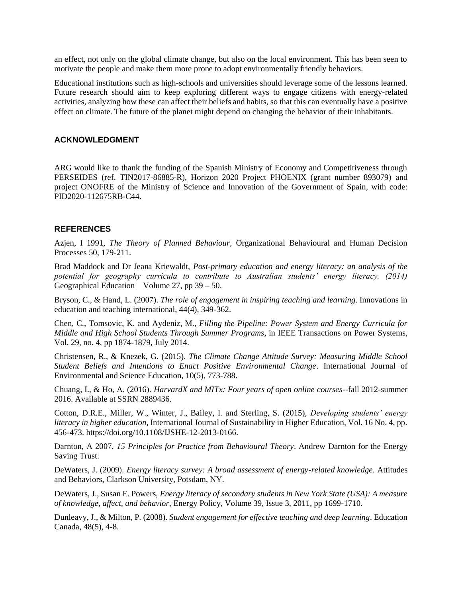an effect, not only on the global climate change, but also on the local environment. This has been seen to motivate the people and make them more prone to adopt environmentally friendly behaviors.

Educational institutions such as high-schools and universities should leverage some of the lessons learned. Future research should aim to keep exploring different ways to engage citizens with energy-related activities, analyzing how these can affect their beliefs and habits, so that this can eventually have a positive effect on climate. The future of the planet might depend on changing the behavior of their inhabitants.

#### **ACKNOWLEDGMENT**

ARG would like to thank the funding of the Spanish Ministry of Economy and Competitiveness through PERSEIDES (ref. TIN2017-86885-R), Horizon 2020 Project PHOENIX (grant number 893079) and project ONOFRE of the Ministry of Science and Innovation of the Government of Spain, with code: PID2020-112675RB-C44.

#### **REFERENCES**

Azjen, I 1991, *The Theory of Planned Behaviour*, Organizational Behavioural and Human Decision Processes 50, 179-211.

Brad Maddock and Dr Jeana Kriewaldt, *Post-primary education and energy literacy: an analysis of the potential for geography curricula to contribute to Australian students' energy literacy. (2014)* Geographical Education Volume 27, pp 39 – 50.

Bryson, C., & Hand, L. (2007). *The role of engagement in inspiring teaching and learning*. Innovations in education and teaching international, 44(4), 349-362.

Chen, C., Tomsovic, K. and Aydeniz, M., *Filling the Pipeline: Power System and Energy Curricula for Middle and High School Students Through Summer Programs*, in IEEE Transactions on Power Systems, Vol. 29, no. 4, pp 1874-1879, July 2014.

Christensen, R., & Knezek, G. (2015). *The Climate Change Attitude Survey: Measuring Middle School Student Beliefs and Intentions to Enact Positive Environmental Change*. International Journal of Environmental and Science Education, 10(5), 773-788.

Chuang, I., & Ho, A. (2016). *HarvardX and MITx: Four years of open online courses*--fall 2012-summer 2016. Available at SSRN 2889436.

Cotton, D.R.E., Miller, W., Winter, J., Bailey, I. and Sterling, S. (2015), *Developing students' energy literacy in higher education*, International Journal of Sustainability in Higher Education, Vol. 16 No. 4, pp. 456-473. [https://doi.org/10.1108/IJSHE-12-2013-0166.](https://doi.org/10.1108/IJSHE-12-2013-0166)

Darnton, A 2007. *15 Principles for Practice from Behavioural Theory*. Andrew Darnton for the Energy Saving Trust.

DeWaters, J. (2009). *Energy literacy survey: A broad assessment of energy-related knowledge*. Attitudes and Behaviors, Clarkson University, Potsdam, NY.

DeWaters, J., Susan E. Powers, *Energy literacy of secondary students in New York State (USA): A measure of knowledge, affect, and behavior*, Energy Policy, Volume 39, Issue 3, 2011, pp 1699-1710.

Dunleavy, J., & Milton, P. (2008). *Student engagement for effective teaching and deep learning*. Education Canada, 48(5), 4-8.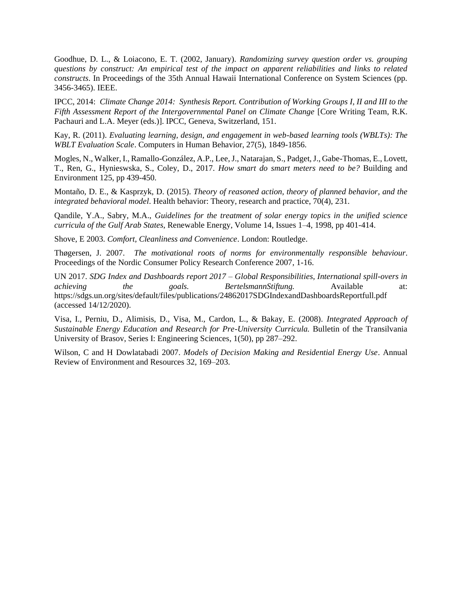Goodhue, D. L., & Loiacono, E. T. (2002, January). *Randomizing survey question order vs. grouping questions by construct: An empirical test of the impact on apparent reliabilities and links to related constructs*. In Proceedings of the 35th Annual Hawaii International Conference on System Sciences (pp. 3456-3465). IEEE.

IPCC, 2014: *Climate Change 2014: Synthesis Report. Contribution of Working Groups I, II and III to the Fifth Assessment Report of the Intergovernmental Panel on Climate Change* [Core Writing Team, R.K. Pachauri and L.A. Meyer (eds.)]. IPCC, Geneva, Switzerland, 151.

Kay, R. (2011). *Evaluating learning, design, and engagement in web-based learning tools (WBLTs): The WBLT Evaluation Scale*. Computers in Human Behavior, 27(5), 1849-1856.

Mogles, N., Walker, I., Ramallo-González, A.P., Lee, J., Natarajan, S., Padget, J., Gabe-Thomas, E., Lovett, T., Ren, G., Hynieswska, S., Coley, D., 2017. *How smart do smart meters need to be?* Building and Environment 125, pp 439-450.

Montaño, D. E., & Kasprzyk, D. (2015). *Theory of reasoned action, theory of planned behavior, and the integrated behavioral model*. Health behavior: Theory, research and practice, 70(4), 231.

Qandile, Y.A., Sabry, M.A., *Guidelines for the treatment of solar energy topics in the unified science curricula of the Gulf Arab States*, Renewable Energy, Volume 14, Issues 1–4, 1998, pp 401-414.

Shove, E 2003. *Comfort, Cleanliness and Convenience*. London: Routledge.

Thøgersen, J. 2007. *The motivational roots of norms for environmentally responsible behaviour*. Proceedings of the Nordic Consumer Policy Research Conference 2007, 1-16.

UN 2017. *SDG Index and Dashboards report 2017 – Global Responsibilities, International spill-overs in achieving the goals. BertelsmannStiftung.* Available at: <https://sdgs.un.org/sites/default/files/publications/24862017SDGIndexandDashboardsReportfull.pdf> (accessed 14/12/2020).

Visa, I., Perniu, D., Alimisis, D., Visa, M., Cardon, L., & Bakay, E. (2008). *Integrated Approach of Sustainable Energy Education and Research for Pre-University Curricula.* Bulletin of the Transilvania University of Brasov, Series I: Engineering Sciences, 1(50), pp 287–292.

Wilson, C and H Dowlatabadi 2007. *Models of Decision Making and Residential Energy Use*. Annual Review of Environment and Resources 32, 169–203.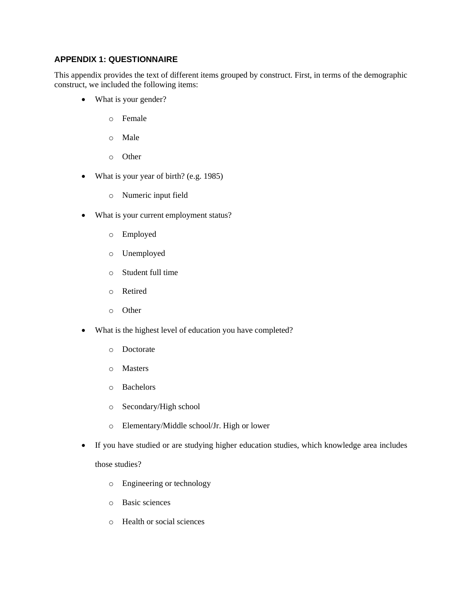# **APPENDIX 1: QUESTIONNAIRE**

This appendix provides the text of different items grouped by construct. First, in terms of the demographic construct, we included the following items:

- What is your gender?
	- o Female
	- o Male
	- o Other
- What is your year of birth? (e.g. 1985)
	- o Numeric input field
- What is your current employment status?
	- o Employed
	- o Unemployed
	- o Student full time
	- o Retired
	- o Other
- What is the highest level of education you have completed?
	- o Doctorate
	- o Masters
	- o Bachelors
	- o Secondary/High school
	- o Elementary/Middle school/Jr. High or lower
- If you have studied or are studying higher education studies, which knowledge area includes those studies?
	- o Engineering or technology
	- o Basic sciences
	- o Health or social sciences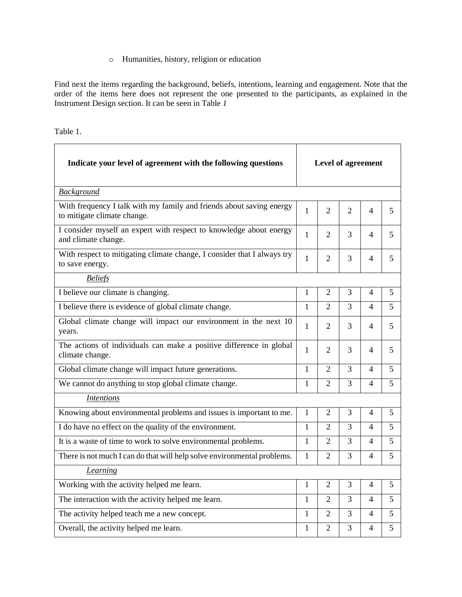# o Humanities, history, religion or education

Find next the items regarding the background, beliefs, intentions, learning and engagement. Note that the order of the items here does not represent the one presented to the participants, as explained in the Instrument Design section. It can be seen in [Table](#page-16-0) *1*

<span id="page-16-0"></span>Table 1.

| Indicate your level of agreement with the following questions                                       | <b>Level of agreement</b> |                |                |                          |   |
|-----------------------------------------------------------------------------------------------------|---------------------------|----------------|----------------|--------------------------|---|
| <b>Background</b>                                                                                   |                           |                |                |                          |   |
| With frequency I talk with my family and friends about saving energy<br>to mitigate climate change. | 1                         | 2              | 2              | 4                        | 5 |
| I consider myself an expert with respect to knowledge about energy<br>and climate change.           | $\mathbf{1}$              | 2              | 3              | 4                        | 5 |
| With respect to mitigating climate change, I consider that I always try<br>to save energy.          | $\mathbf{1}$              | 2              | 3              | $\overline{\mathcal{A}}$ | 5 |
| <b>Beliefs</b>                                                                                      |                           |                |                |                          |   |
| I believe our climate is changing.                                                                  | 1                         | 2              | 3              | 4                        | 5 |
| I believe there is evidence of global climate change.                                               | $\mathbf{1}$              | $\mathfrak{D}$ | 3              | $\overline{\mathcal{A}}$ | 5 |
| Global climate change will impact our environment in the next 10<br>years.                          | 1                         | 2              | 3              | 4                        | 5 |
| The actions of individuals can make a positive difference in global<br>climate change.              | 1                         | 2              | 3              | 4                        | 5 |
| Global climate change will impact future generations.                                               | $\mathbf{1}$              | $\overline{2}$ | $\overline{3}$ | $\overline{\mathcal{A}}$ | 5 |
| We cannot do anything to stop global climate change.                                                | $\mathbf{1}$              | $\overline{2}$ | $\overline{3}$ | $\overline{\mathcal{A}}$ | 5 |
| <b>Intentions</b>                                                                                   |                           |                |                |                          |   |
| Knowing about environmental problems and issues is important to me.                                 | 1                         | $\overline{2}$ | 3              | $\overline{4}$           | 5 |
| I do have no effect on the quality of the environment.                                              | $\mathbf{1}$              | $\overline{2}$ | 3              | $\overline{\mathcal{L}}$ | 5 |
| It is a waste of time to work to solve environmental problems.                                      | 1                         | $\overline{2}$ | 3              | $\overline{\mathcal{L}}$ | 5 |
| There is not much I can do that will help solve environmental problems.                             | $\mathbf{1}$              | 2              | $\overline{3}$ | 4                        | 5 |
| Learning                                                                                            |                           |                |                |                          |   |
| Working with the activity helped me learn.                                                          | 1                         | $\mathfrak{D}$ | 3              | $\overline{\mathcal{A}}$ | 5 |
| The interaction with the activity helped me learn.                                                  | 1                         | $\overline{2}$ | $\overline{3}$ | 4                        | 5 |
| The activity helped teach me a new concept.                                                         | 1                         | $\overline{2}$ | 3              | 4                        | 5 |
| Overall, the activity helped me learn.                                                              | 1                         | $\overline{2}$ | $\overline{3}$ | 4                        | 5 |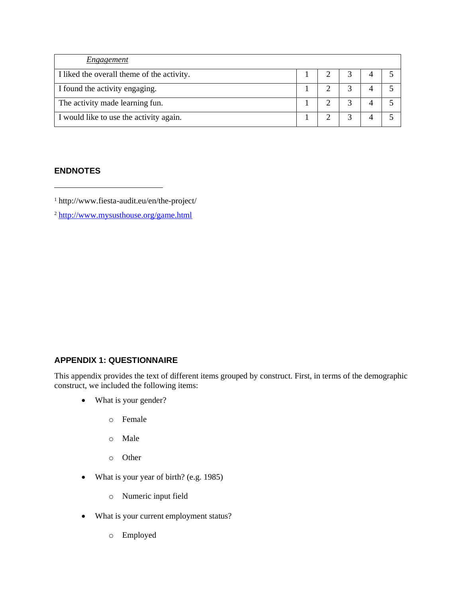| Engagement                                 |  |  |  |
|--------------------------------------------|--|--|--|
| I liked the overall theme of the activity. |  |  |  |
| I found the activity engaging.             |  |  |  |
| The activity made learning fun.            |  |  |  |
| I would like to use the activity again.    |  |  |  |

# **ENDNOTES**

<sup>1</sup> http://www.fiesta-audit.eu/en/the-project/

<sup>2</sup> <http://www.mysusthouse.org/game.html>

# **APPENDIX 1: QUESTIONNAIRE**

This appendix provides the text of different items grouped by construct. First, in terms of the demographic construct, we included the following items:

- What is your gender?
	- o Female
	- o Male
	- o Other
- What is your year of birth? (e.g. 1985)
	- o Numeric input field
- What is your current employment status?
	- o Employed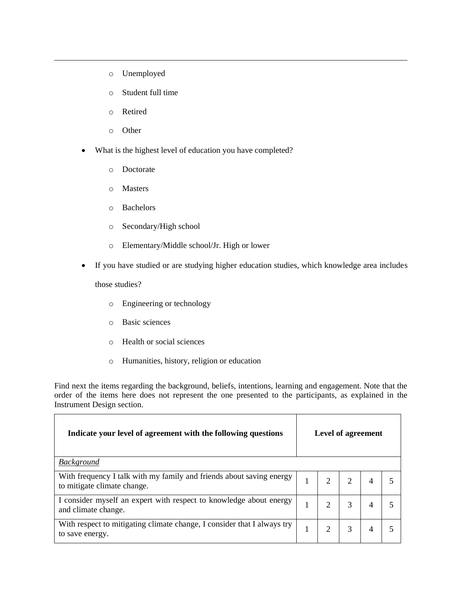- o Unemployed
- o Student full time
- o Retired
- o Other
- What is the highest level of education you have completed?
	- o Doctorate
	- o Masters
	- o Bachelors
	- o Secondary/High school
	- o Elementary/Middle school/Jr. High or lower
- If you have studied or are studying higher education studies, which knowledge area includes

those studies?

ř.

- o Engineering or technology
- o Basic sciences
- o Health or social sciences
- o Humanities, history, religion or education

Find next the items regarding the background, beliefs, intentions, learning and engagement. Note that the order of the items here does not represent the one presented to the participants, as explained in the Instrument Design section.

| Indicate your level of agreement with the following questions                                       | <b>Level of agreement</b> |  |   |  |  |  |
|-----------------------------------------------------------------------------------------------------|---------------------------|--|---|--|--|--|
| <b>Background</b>                                                                                   |                           |  |   |  |  |  |
| With frequency I talk with my family and friends about saving energy<br>to mitigate climate change. |                           |  |   |  |  |  |
| I consider myself an expert with respect to knowledge about energy<br>and climate change.           |                           |  | 3 |  |  |  |
| With respect to mitigating climate change, I consider that I always try<br>to save energy.          |                           |  | 3 |  |  |  |